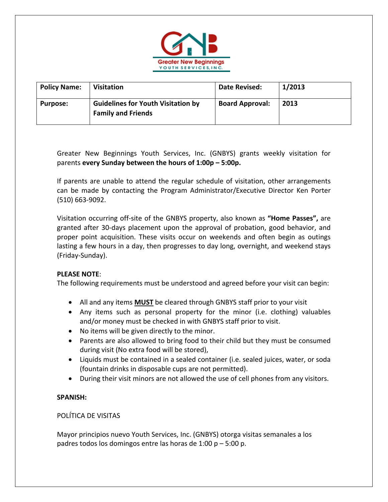

| <b>Policy Name:</b> | Visitation                                                             | Date Revised:          | 1/2013 |
|---------------------|------------------------------------------------------------------------|------------------------|--------|
| <b>Purpose:</b>     | <b>Guidelines for Youth Visitation by</b><br><b>Family and Friends</b> | <b>Board Approval:</b> | 2013   |

Greater New Beginnings Youth Services, Inc. (GNBYS) grants weekly visitation for parents **every Sunday between the hours of 1:00p – 5:00p.** 

If parents are unable to attend the regular schedule of visitation, other arrangements can be made by contacting the Program Administrator/Executive Director Ken Porter (510) 663‐9092.

Visitation occurring off‐site of the GNBYS property, also known as **"Home Passes",** are granted after 30‐days placement upon the approval of probation, good behavior, and proper point acquisition. These visits occur on weekends and often begin as outings lasting a few hours in a day, then progresses to day long, overnight, and weekend stays (Friday‐Sunday).

## **PLEASE NOTE**:

The following requirements must be understood and agreed before your visit can begin:

- All and any items **MUST** be cleared through GNBYS staff prior to your visit
- Any items such as personal property for the minor (i.e. clothing) valuables and/or money must be checked in with GNBYS staff prior to visit.
- No items will be given directly to the minor.
- Parents are also allowed to bring food to their child but they must be consumed during visit (No extra food will be stored),
- Liquids must be contained in a sealed container (i.e. sealed juices, water, or soda (fountain drinks in disposable cups are not permitted).
- During their visit minors are not allowed the use of cell phones from any visitors.

## **SPANISH:**

## POLÍTICA DE VISITAS

Mayor principios nuevo Youth Services, Inc. (GNBYS) otorga visitas semanales a los padres todos los domingos entre las horas de 1:00  $p - 5:00 p$ .